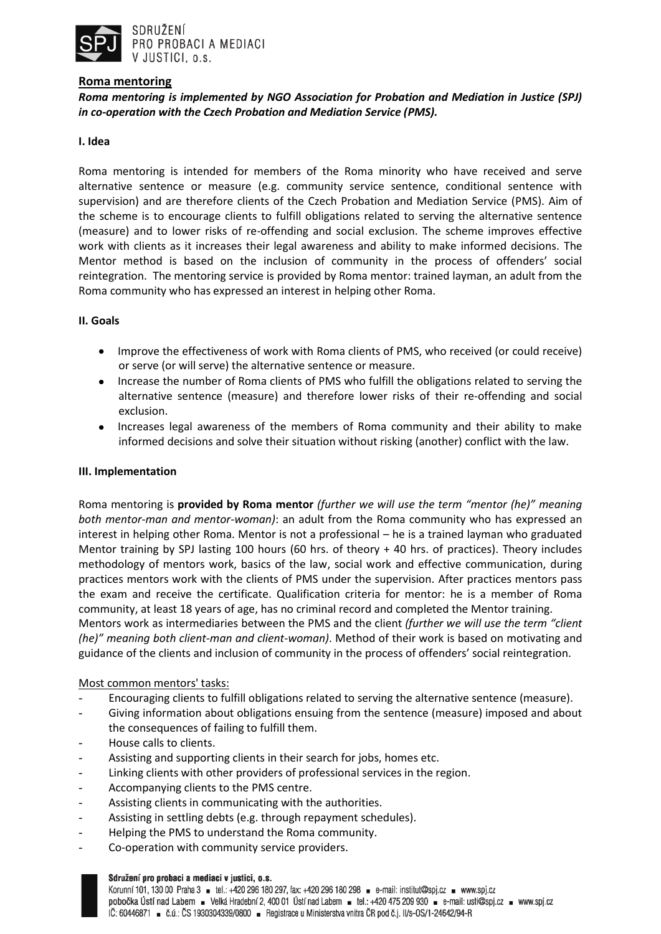

# **Roma mentoring**

*Roma mentoring is implemented by NGO Association for Probation and Mediation in Justice (SPJ) in co-operation with the Czech Probation and Mediation Service (PMS).*

# **I. Idea**

Roma mentoring is intended for members of the Roma minority who have received and serve alternative sentence or measure (e.g. community service sentence, conditional sentence with supervision) and are therefore clients of the Czech Probation and Mediation Service (PMS). Aim of the scheme is to encourage clients to fulfill obligations related to serving the alternative sentence (measure) and to lower risks of re-offending and social exclusion. The scheme improves effective work with clients as it increases their legal awareness and ability to make informed decisions. The Mentor method is based on the inclusion of community in the process of offenders' social reintegration. The mentoring service is provided by Roma mentor: trained layman, an adult from the Roma community who has expressed an interest in helping other Roma.

#### **II. Goals**

- Improve the effectiveness of work with Roma clients of PMS, who received (or could receive) or serve (or will serve) the alternative sentence or measure.
- Increase the number of Roma clients of PMS who fulfill the obligations related to serving the alternative sentence (measure) and therefore lower risks of their re-offending and social exclusion.
- Increases legal awareness of the members of Roma community and their ability to make informed decisions and solve their situation without risking (another) conflict with the law.

#### **III. Implementation**

Roma mentoring is **provided by Roma mentor** *(further we will use the term "mentor (he)" meaning both mentor-man and mentor-woman)*: an adult from the Roma community who has expressed an interest in helping other Roma. Mentor is not a professional – he is a trained layman who graduated Mentor training by SPJ lasting 100 hours (60 hrs. of theory + 40 hrs. of practices). Theory includes methodology of mentors work, basics of the law, social work and effective communication, during practices mentors work with the clients of PMS under the supervision. After practices mentors pass the exam and receive the certificate. Qualification criteria for mentor: he is a member of Roma community, at least 18 years of age, has no criminal record and completed the Mentor training. Mentors work as intermediaries between the PMS and the client *(further we will use the term "client (he)" meaning both client-man and client-woman)*. Method of their work is based on motivating and guidance of the clients and inclusion of community in the process of offenders' social reintegration.

# Most common mentors' tasks:

- Encouraging clients to fulfill obligations related to serving the alternative sentence (measure).
- Giving information about obligations ensuing from the sentence (measure) imposed and about the consequences of failing to fulfill them.
- House calls to clients.
- Assisting and supporting clients in their search for jobs, homes etc.
- Linking clients with other providers of professional services in the region.
- Accompanying clients to the PMS centre.
- Assisting clients in communicating with the authorities.
- Assisting in settling debts (e.g. through repayment schedules).
- Helping the PMS to understand the Roma community.
- Co-operation with community service providers.

#### Sdružení pro probaci a mediaci v justici, o.s.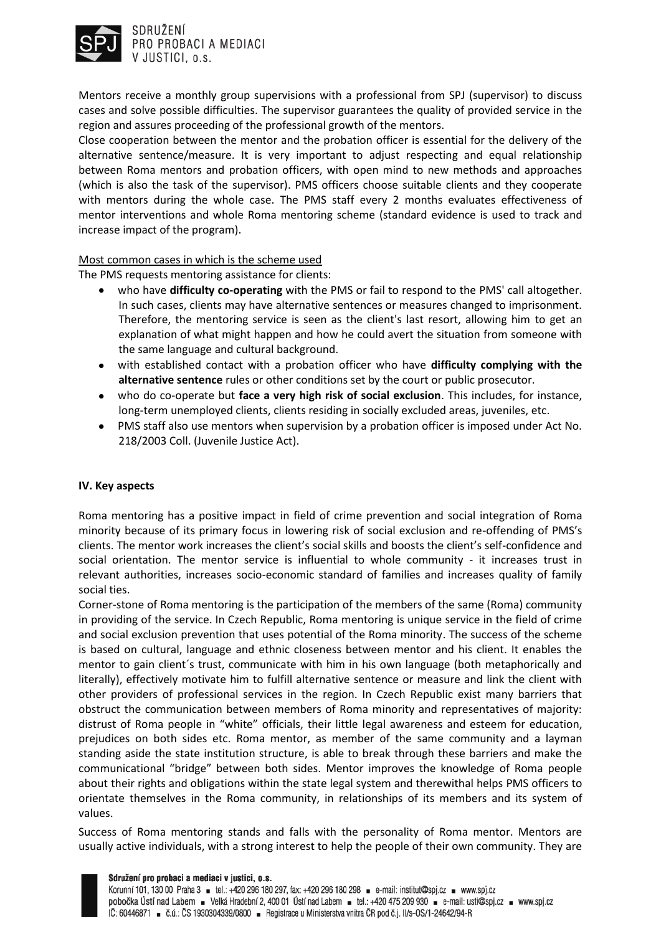

SDRUŽENÍ PRO PROBACI A MEDIACI V JUSTICI, p.s.

Mentors receive a monthly group supervisions with a professional from SPJ (supervisor) to discuss cases and solve possible difficulties. The supervisor guarantees the quality of provided service in the region and assures proceeding of the professional growth of the mentors.

Close cooperation between the mentor and the probation officer is essential for the delivery of the alternative sentence/measure. It is very important to adjust respecting and equal relationship between Roma mentors and probation officers, with open mind to new methods and approaches (which is also the task of the supervisor). PMS officers choose suitable clients and they cooperate with mentors during the whole case. The PMS staff every 2 months evaluates effectiveness of mentor interventions and whole Roma mentoring scheme (standard evidence is used to track and increase impact of the program).

# Most common cases in which is the scheme used

The PMS requests mentoring assistance for clients:

- who have **difficulty co-operating** with the PMS or fail to respond to the PMS' call altogether.  $\bullet$ In such cases, clients may have alternative sentences or measures changed to imprisonment. Therefore, the mentoring service is seen as the client's last resort, allowing him to get an explanation of what might happen and how he could avert the situation from someone with the same language and cultural background.
- with established contact with a probation officer who have **difficulty complying with the alternative sentence** rules or other conditions set by the court or public prosecutor.
- who do co-operate but **face a very high risk of social exclusion**. This includes, for instance, long-term unemployed clients, clients residing in socially excluded areas, juveniles, etc.
- PMS staff also use mentors when supervision by a probation officer is imposed under Act No. 218/2003 Coll. (Juvenile Justice Act).

# **IV. Key aspects**

Roma mentoring has a positive impact in field of crime prevention and social integration of Roma minority because of its primary focus in lowering risk of social exclusion and re-offending of PMS's clients. The mentor work increases the client's social skills and boosts the client's self-confidence and social orientation. The mentor service is influential to whole community - it increases trust in relevant authorities, increases socio-economic standard of families and increases quality of family social ties.

Corner-stone of Roma mentoring is the participation of the members of the same (Roma) community in providing of the service. In Czech Republic, Roma mentoring is unique service in the field of crime and social exclusion prevention that uses potential of the Roma minority. The success of the scheme is based on cultural, language and ethnic closeness between mentor and his client. It enables the mentor to gain client´s trust, communicate with him in his own language (both metaphorically and literally), effectively motivate him to fulfill alternative sentence or measure and link the client with other providers of professional services in the region. In Czech Republic exist many barriers that obstruct the communication between members of Roma minority and representatives of majority: distrust of Roma people in "white" officials, their little legal awareness and esteem for education, prejudices on both sides etc. Roma mentor, as member of the same community and a layman standing aside the state institution structure, is able to break through these barriers and make the communicational "bridge" between both sides. Mentor improves the knowledge of Roma people about their rights and obligations within the state legal system and therewithal helps PMS officers to orientate themselves in the Roma community, in relationships of its members and its system of values.

Success of Roma mentoring stands and falls with the personality of Roma mentor. Mentors are usually active individuals, with a strong interest to help the people of their own community. They are

#### Sdružení pro probaci a mediaci v justici, o.s.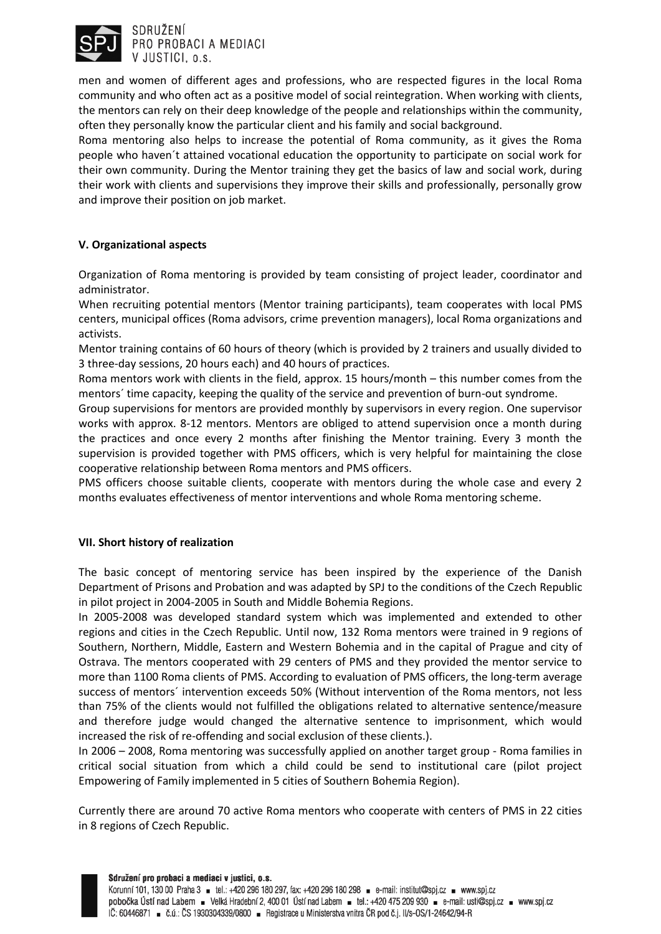

SDRUŽENÍ PRO PROBACI A MEDIACI V JUSTICI, o.s.

men and women of different ages and professions, who are respected figures in the local Roma community and who often act as a positive model of social reintegration. When working with clients, the mentors can rely on their deep knowledge of the people and relationships within the community, often they personally know the particular client and his family and social background.

Roma mentoring also helps to increase the potential of Roma community, as it gives the Roma people who haven´t attained vocational education the opportunity to participate on social work for their own community. During the Mentor training they get the basics of law and social work, during their work with clients and supervisions they improve their skills and professionally, personally grow and improve their position on job market.

# **V. Organizational aspects**

Organization of Roma mentoring is provided by team consisting of project leader, coordinator and administrator.

When recruiting potential mentors (Mentor training participants), team cooperates with local PMS centers, municipal offices (Roma advisors, crime prevention managers), local Roma organizations and activists.

Mentor training contains of 60 hours of theory (which is provided by 2 trainers and usually divided to 3 three-day sessions, 20 hours each) and 40 hours of practices.

Roma mentors work with clients in the field, approx. 15 hours/month – this number comes from the mentors´ time capacity, keeping the quality of the service and prevention of burn-out syndrome.

Group supervisions for mentors are provided monthly by supervisors in every region. One supervisor works with approx. 8-12 mentors. Mentors are obliged to attend supervision once a month during the practices and once every 2 months after finishing the Mentor training. Every 3 month the supervision is provided together with PMS officers, which is very helpful for maintaining the close cooperative relationship between Roma mentors and PMS officers.

PMS officers choose suitable clients, cooperate with mentors during the whole case and every 2 months evaluates effectiveness of mentor interventions and whole Roma mentoring scheme.

# **VII. Short history of realization**

The basic concept of mentoring service has been inspired by the experience of the Danish Department of Prisons and Probation and was adapted by SPJ to the conditions of the Czech Republic in pilot project in 2004-2005 in South and Middle Bohemia Regions.

In 2005-2008 was developed standard system which was implemented and extended to other regions and cities in the Czech Republic. Until now, 132 Roma mentors were trained in 9 regions of Southern, Northern, Middle, Eastern and Western Bohemia and in the capital of Prague and city of Ostrava. The mentors cooperated with 29 centers of PMS and they provided the mentor service to more than 1100 Roma clients of PMS. According to evaluation of PMS officers, the long-term average success of mentors´ intervention exceeds 50% (Without intervention of the Roma mentors, not less than 75% of the clients would not fulfilled the obligations related to alternative sentence/measure and therefore judge would changed the alternative sentence to imprisonment, which would increased the risk of re-offending and social exclusion of these clients.).

In 2006 – 2008, Roma mentoring was successfully applied on another target group - Roma families in critical social situation from which a child could be send to institutional care (pilot project Empowering of Family implemented in 5 cities of Southern Bohemia Region).

Currently there are around 70 active Roma mentors who cooperate with centers of PMS in 22 cities in 8 regions of Czech Republic.